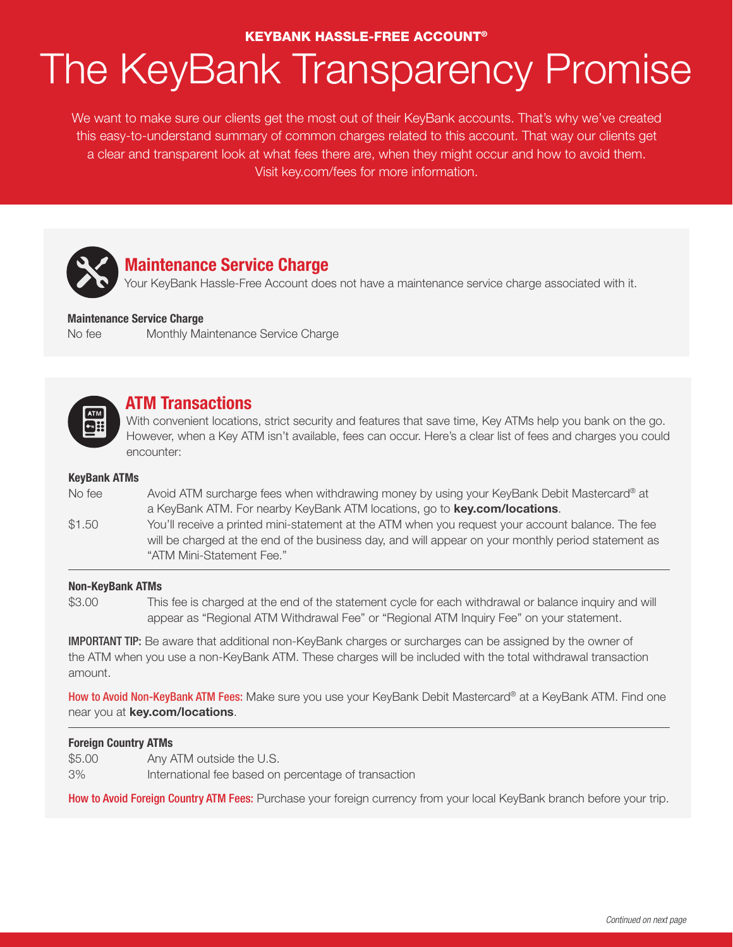## KEYBANK HASSLE-FREE ACCOUNT®

# The KeyBank Transparency Promise

We want to make sure our clients get the most out of their KeyBank accounts. That's why we've created this easy-to-understand summary of common charges related to this account. That way our clients get a clear and transparent look at what fees there are, when they might occur and how to avoid them. Visit key.com/fees for more information.



## **Maintenance Service Charge**

Your KeyBank Hassle-Free Account does not have a maintenance service charge associated with it.

#### **Maintenance Service Charge**

No fee Monthly Maintenance Service Charge



# **ATM Transactions**

With convenient locations, strict security and features that save time, Key ATMs help you bank on the go. However, when a Key ATM isn't available, fees can occur. Here's a clear list of fees and charges you could encounter:

#### **KeyBank ATMs**

- No fee Avoid ATM surcharge fees when withdrawing money by using your KeyBank Debit Mastercard® at a KeyBank ATM. For nearby KeyBank ATM locations, go to **key.com/locations**.
- \$1.50 You'll receive a printed mini-statement at the ATM when you request your account balance. The fee will be charged at the end of the business day, and will appear on your monthly period statement as "ATM Mini-Statement Fee."

#### **Non-KeyBank ATMs**

\$3.00 This fee is charged at the end of the statement cycle for each withdrawal or balance inquiry and will appear as "Regional ATM Withdrawal Fee" or "Regional ATM Inquiry Fee" on your statement.

IMPORTANT TIP: Be aware that additional non-KeyBank charges or surcharges can be assigned by the owner of the ATM when you use a non-KeyBank ATM. These charges will be included with the total withdrawal transaction amount.

How to Avoid Non-KeyBank ATM Fees: Make sure you use your KeyBank Debit Mastercard® at a KeyBank ATM. Find one near you at **key.com/locations**.

#### **Foreign Country ATMs**

- \$5.00 Any ATM outside the U.S.
- 3% International fee based on percentage of transaction

How to Avoid Foreign Country ATM Fees: Purchase your foreign currency from your local KeyBank branch before your trip.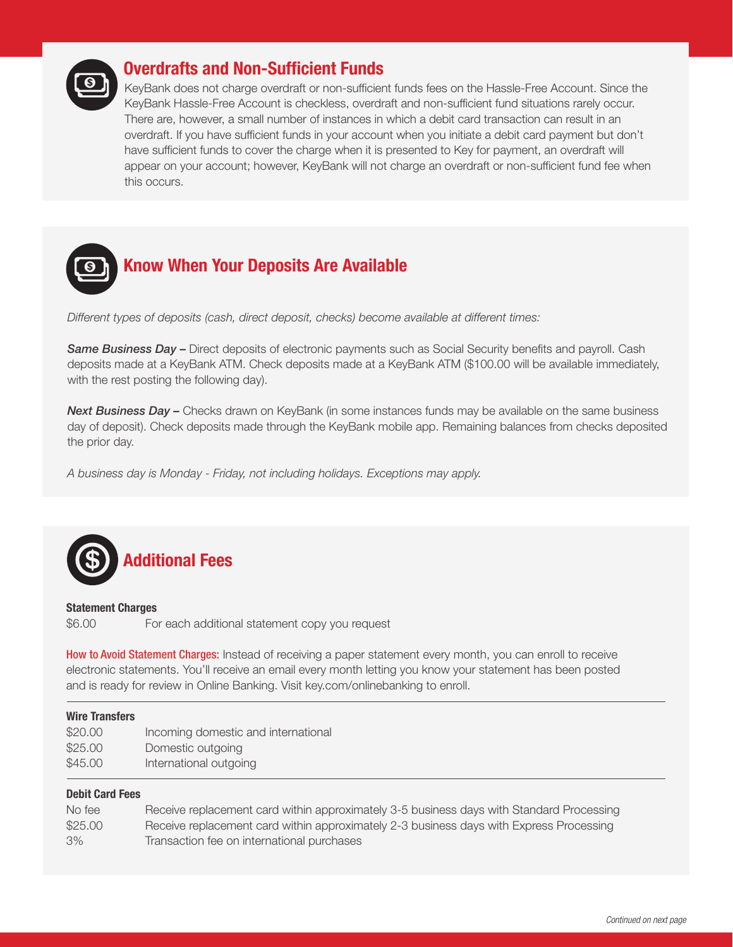

# **Overdrafts and Non-Sufficient Funds**

KeyBank does not charge overdraft or non-sufficient funds fees on the Hassle-Free Account. Since the KeyBank Hassle-Free Account is checkless, overdraft and non-sufficient fund situations rarely occur. There are, however, a small number of instances in which a debit card transaction can result in an overdraft. If you have sufficient funds in your account when you initiate a debit card payment but don't have sufficient funds to cover the charge when it is presented to Key for payment, an overdraft will appear on your account; however, KeyBank will not charge an overdraft or non-sufficient fund fee when this occurs.



*Different types of deposits (cash, direct deposit, checks) become available at different times:*

*Same Business Day –* Direct deposits of electronic payments such as Social Security benefits and payroll. Cash deposits made at a KeyBank ATM. Check deposits made at a KeyBank ATM (\$100.00 will be available immediately, with the rest posting the following day).

**Next Business Day –** Checks drawn on KeyBank (in some instances funds may be available on the same business day of deposit). Check deposits made through the KeyBank mobile app. Remaining balances from checks deposited the prior day.

*A business day is Monday - Friday, not including holidays. Exceptions may apply.* 



#### **Statement Charges**

\$6.00 For each additional statement copy you request

How to Avoid Statement Charges: Instead of receiving a paper statement every month, you can enroll to receive electronic statements. You'll receive an email every month letting you know your statement has been posted and is ready for review in Online Banking. Visit key.com/onlinebanking to enroll.

#### **Wire Transfers**

| \$20.00 | Incoming domestic and international |
|---------|-------------------------------------|
| \$25.00 | Domestic outgoing                   |
| \$45.00 | International outgoing              |

#### **Debit Card Fees**

| No fee  | Receive replacement card within approximately 3-5 business days with Standard Processing |
|---------|------------------------------------------------------------------------------------------|
| \$25.00 | Receive replacement card within approximately 2-3 business days with Express Processing  |
| 3%      | Transaction fee on international purchases                                               |